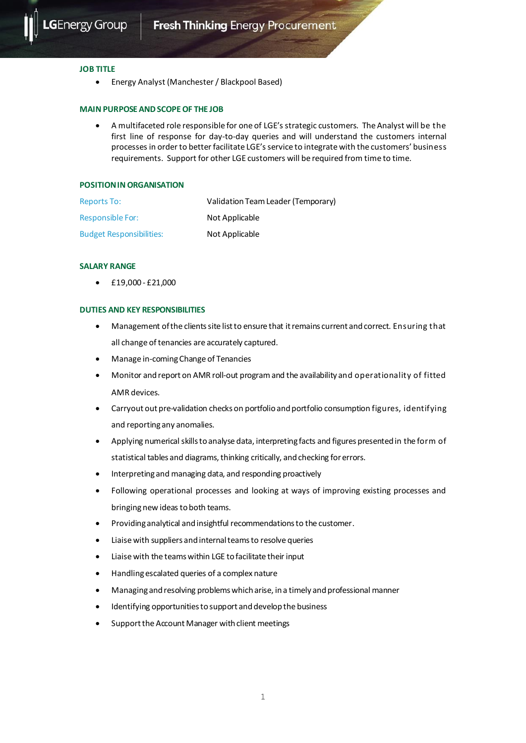

### **JOB TITLE**

• Energy Analyst (Manchester / Blackpool Based)

### **MAIN PURPOSE AND SCOPE OF THE JOB**

• A multifaceted role responsible for one of LGE's strategic customers. The Analyst will be the first line of response for day-to-day queries and will understand the customers internal processes in order to better facilitate LGE's service to integrate with the customers' business requirements. Support for other LGE customers will be required from time to time.

### **POSITION IN ORGANISATION**

| <b>Reports To:</b>              | Validation Team Leader (Temporary) |
|---------------------------------|------------------------------------|
| Responsible For:                | Not Applicable                     |
| <b>Budget Responsibilities:</b> | Not Applicable                     |

# **SALARY RANGE**

• £19,000 - £21,000

### **DUTIES AND KEY RESPONSIBILITIES**

- Management of the clients site list to ensure that it remains current and correct. Ensuring that all change of tenancies are accurately captured.
- Manage in-coming Change of Tenancies
- Monitor and report on AMR roll-out program and the availability and operationality of fitted AMR devices.
- Carryout out pre-validation checks on portfolio and portfolio consumption figures, identifying and reporting any anomalies.
- Applying numerical skills to analyse data, interpreting facts and figures presented in the form of statistical tables and diagrams, thinking critically, and checking for errors.
- Interpreting and managing data, and responding proactively
- Following operational processes and looking at ways of improving existing processes and bringing new ideas to both teams.
- Providing analytical and insightful recommendations to the customer.
- Liaise with suppliers andinternal teams to resolve queries
- Liaise with the teams within LGE to facilitate their input
- Handling escalated queries of a complex nature
- Managing and resolving problems which arise, in a timely and professional manner
- Identifying opportunities to support and develop the business
- Support the Account Manager with client meetings